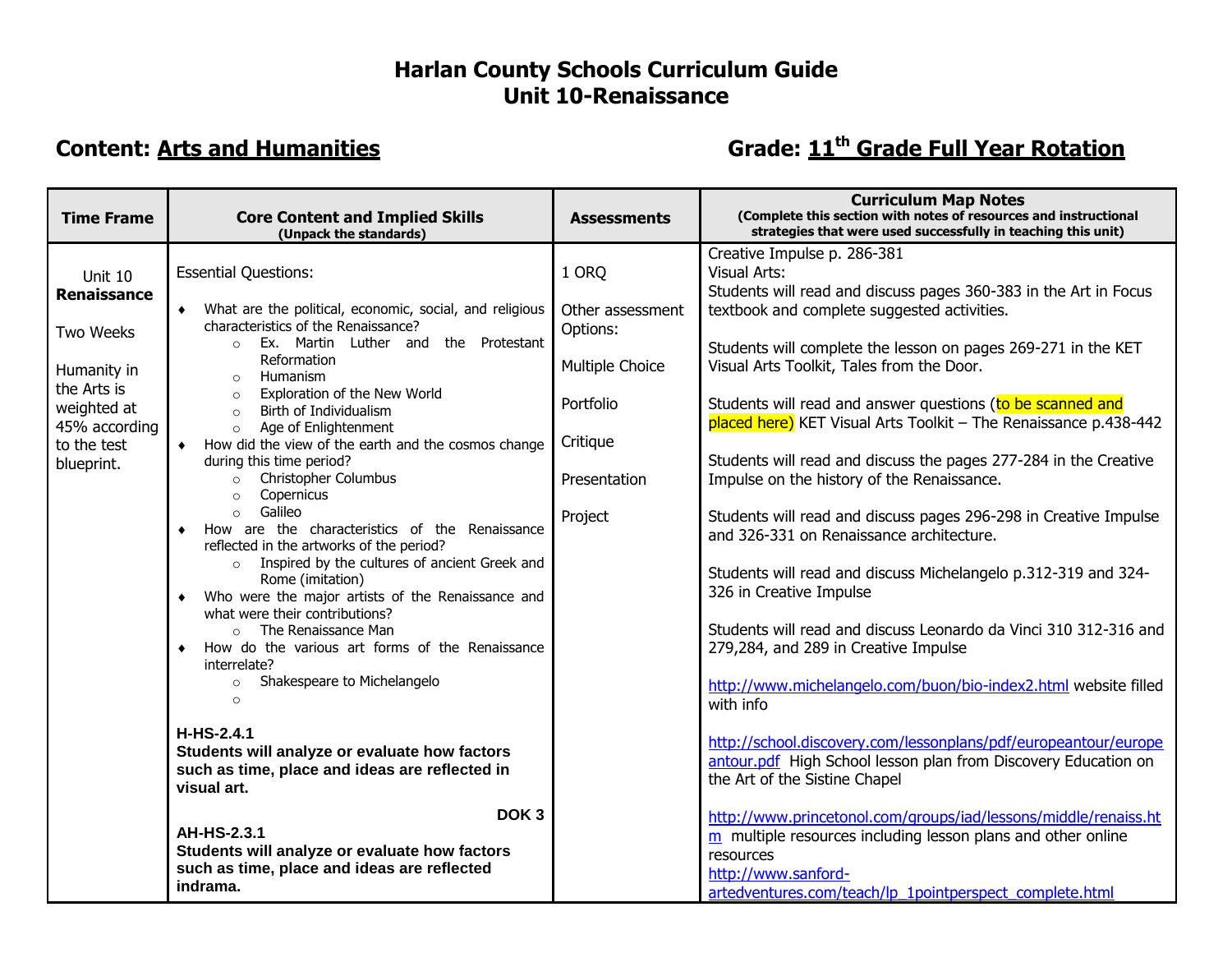## **Harlan County Schools Curriculum Guide Unit 10-Renaissance**

## **Content:** Arts and Humanities **Content:** Arts and Humanities **Grade:** 11<sup>th</sup> Grade: 11<sup>th</sup> Grade Full Year Rotation

| <b>Time Frame</b>                           | <b>Core Content and Implied Skills</b><br>(Unpack the standards)                                                                                                        | <b>Assessments</b>          | <b>Curriculum Map Notes</b><br>(Complete this section with notes of resources and instructional<br>strategies that were used successfully in teaching this unit)                                                               |
|---------------------------------------------|-------------------------------------------------------------------------------------------------------------------------------------------------------------------------|-----------------------------|--------------------------------------------------------------------------------------------------------------------------------------------------------------------------------------------------------------------------------|
| Unit 10<br>Renaissance                      | <b>Essential Questions:</b><br>• What are the political, economic, social, and religious                                                                                | 1 ORQ<br>Other assessment   | Creative Impulse p. 286-381<br>Visual Arts:<br>Students will read and discuss pages 360-383 in the Art in Focus<br>textbook and complete suggested activities.                                                                 |
| Two Weeks<br>Humanity in<br>the Arts is     | characteristics of the Renaissance?<br>Ex. Martin Luther and the Protestant<br>$\circ$<br>Reformation<br>Humanism<br>$\circ$<br>Exploration of the New World<br>$\circ$ | Options:<br>Multiple Choice | Students will complete the lesson on pages 269-271 in the KET<br>Visual Arts Toolkit, Tales from the Door.                                                                                                                     |
| weighted at<br>45% according<br>to the test | Birth of Individualism<br>$\circ$<br>Age of Enlightenment<br>$\circ$<br>How did the view of the earth and the cosmos change                                             | Portfolio<br>Critique       | Students will read and answer questions (to be scanned and<br>placed here) KET Visual Arts Toolkit - The Renaissance p.438-442                                                                                                 |
| blueprint.                                  | during this time period?<br>Christopher Columbus<br>$\circ$<br>Copernicus<br>$\circ$<br>Galileo<br>$\circ$                                                              | Presentation                | Students will read and discuss the pages 277-284 in the Creative<br>Impulse on the history of the Renaissance.                                                                                                                 |
|                                             | How are the characteristics of the Renaissance<br>reflected in the artworks of the period?<br>o Inspired by the cultures of ancient Greek and                           | Project                     | Students will read and discuss pages 296-298 in Creative Impulse<br>and 326-331 on Renaissance architecture.<br>Students will read and discuss Michelangelo p.312-319 and 324-                                                 |
|                                             | Rome (imitation)<br>Who were the major artists of the Renaissance and<br>what were their contributions?<br>$\circ$ The Renaissance Man                                  |                             | 326 in Creative Impulse<br>Students will read and discuss Leonardo da Vinci 310 312-316 and                                                                                                                                    |
|                                             | How do the various art forms of the Renaissance<br>interrelate?<br>Shakespeare to Michelangelo<br>$\circ$                                                               |                             | 279,284, and 289 in Creative Impulse<br>http://www.michelangelo.com/buon/bio-index2.html website filled                                                                                                                        |
|                                             | $\circ$<br>H-HS-2.4.1<br>Students will analyze or evaluate how factors<br>such as time, place and ideas are reflected in<br>visual art.<br>DOK <sub>3</sub>             |                             | with info<br>http://school.discovery.com/lessonplans/pdf/europeantour/europe                                                                                                                                                   |
|                                             |                                                                                                                                                                         |                             | antour.pdf High School lesson plan from Discovery Education on<br>the Art of the Sistine Chapel                                                                                                                                |
|                                             | <b>AH-HS-2.3.1</b><br>Students will analyze or evaluate how factors<br>such as time, place and ideas are reflected<br>indrama.                                          |                             | http://www.princetonol.com/groups/iad/lessons/middle/renaiss.ht<br>m multiple resources including lesson plans and other online<br>resources<br>http://www.sanford-<br>artedventures.com/teach/lp 1pointperspect complete.html |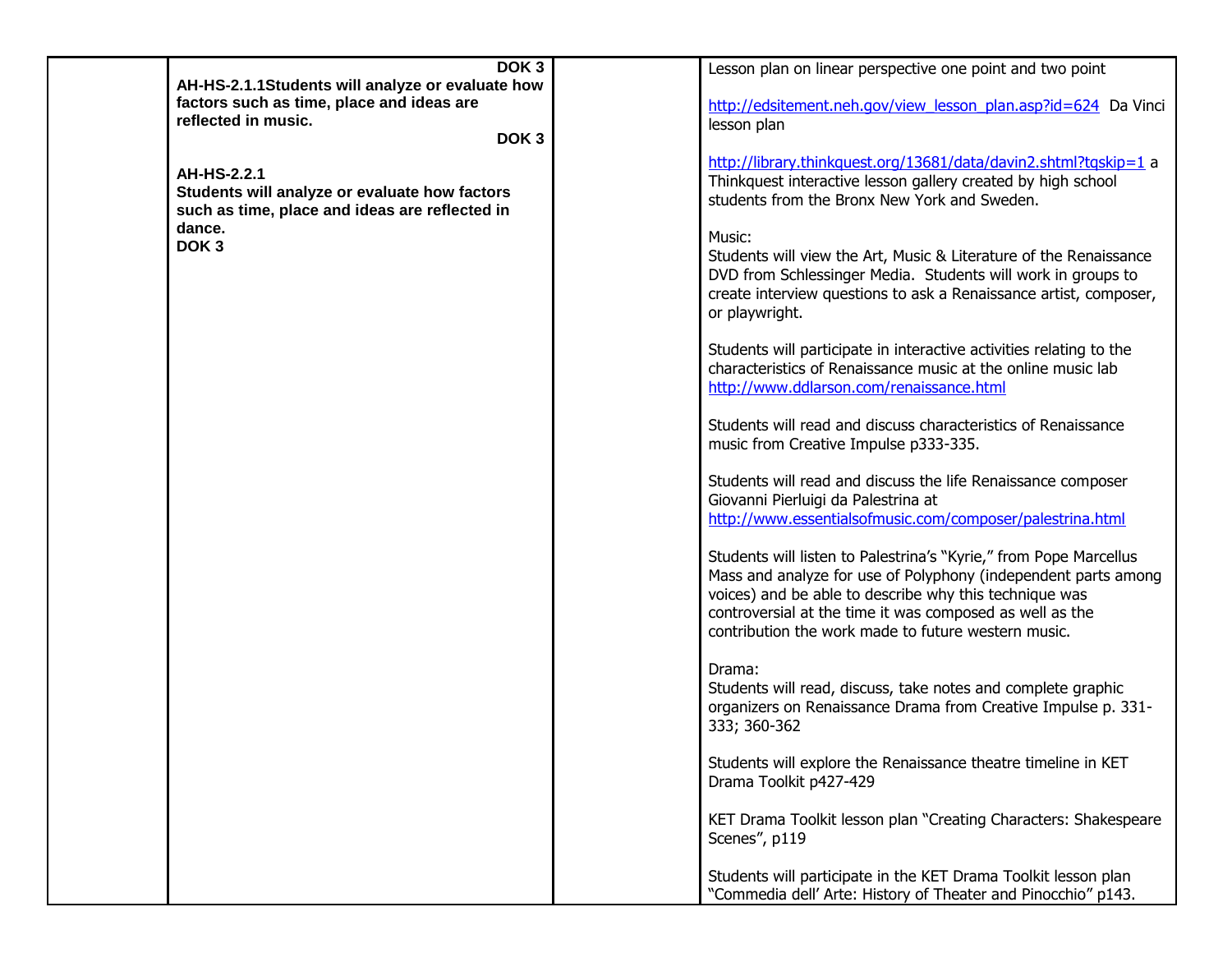| DOK <sub>3</sub>                                                                                                                             | Lesson plan on linear perspective one point and two point                                                                                                                                                                                                                                                        |
|----------------------------------------------------------------------------------------------------------------------------------------------|------------------------------------------------------------------------------------------------------------------------------------------------------------------------------------------------------------------------------------------------------------------------------------------------------------------|
| AH-HS-2.1.1Students will analyze or evaluate how<br>factors such as time, place and ideas are<br>reflected in music.<br>DOK <sub>3</sub>     | http://edsitement.neh.gov/view lesson plan.asp?id=624 Da Vinci<br>lesson plan                                                                                                                                                                                                                                    |
| AH-HS-2.2.1<br>Students will analyze or evaluate how factors<br>such as time, place and ideas are reflected in<br>dance.<br>DOK <sub>3</sub> | http://library.thinkquest.org/13681/data/davin2.shtml?tqskip=1 a<br>Thinkquest interactive lesson gallery created by high school<br>students from the Bronx New York and Sweden.                                                                                                                                 |
|                                                                                                                                              | Music:<br>Students will view the Art, Music & Literature of the Renaissance<br>DVD from Schlessinger Media. Students will work in groups to<br>create interview questions to ask a Renaissance artist, composer,<br>or playwright.                                                                               |
|                                                                                                                                              | Students will participate in interactive activities relating to the<br>characteristics of Renaissance music at the online music lab<br>http://www.ddlarson.com/renaissance.html                                                                                                                                  |
|                                                                                                                                              | Students will read and discuss characteristics of Renaissance<br>music from Creative Impulse p333-335.                                                                                                                                                                                                           |
|                                                                                                                                              | Students will read and discuss the life Renaissance composer<br>Giovanni Pierluigi da Palestrina at<br>http://www.essentialsofmusic.com/composer/palestrina.html                                                                                                                                                 |
|                                                                                                                                              | Students will listen to Palestrina's "Kyrie," from Pope Marcellus<br>Mass and analyze for use of Polyphony (independent parts among<br>voices) and be able to describe why this technique was<br>controversial at the time it was composed as well as the<br>contribution the work made to future western music. |
|                                                                                                                                              | Drama:<br>Students will read, discuss, take notes and complete graphic<br>organizers on Renaissance Drama from Creative Impulse p. 331-<br>333; 360-362                                                                                                                                                          |
|                                                                                                                                              | Students will explore the Renaissance theatre timeline in KET<br>Drama Toolkit p427-429                                                                                                                                                                                                                          |
|                                                                                                                                              | KET Drama Toolkit lesson plan "Creating Characters: Shakespeare<br>Scenes", p119                                                                                                                                                                                                                                 |
|                                                                                                                                              | Students will participate in the KET Drama Toolkit lesson plan<br>"Commedia dell' Arte: History of Theater and Pinocchio" p143.                                                                                                                                                                                  |